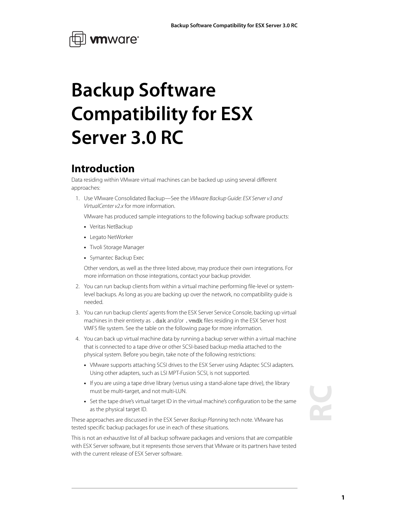

## **Backup Software Compatibility for ESX Server 3.0 RC**

### **Introduction**

Data residing within VMware virtual machines can be backed up using several different approaches:

1. Use VMware Consolidated Backup-See the VMware Backup Guide: ESX Server v3 and VirtualCenter v2.x for more information.

VMware has produced sample integrations to the following backup software products:

- **•** Veritas NetBackup
- **•** Legato NetWorker
- **•** Tivoli Storage Manager
- **•** Symantec Backup Exec

Other vendors, as well as the three listed above, may produce their own integrations. For more information on those integrations, contact your backup provider.

- 2. You can run backup clients from within a virtual machine performing file-level or systemlevel backups. As long as you are backing up over the network, no compatibility guide is needed.
- 3. You can run backup clients' agents from the ESX Server Service Console, backing up virtual machines in their entirety as .dsk and/or . vmdk files residing in the ESX Server host VMFS file system. See the table on the following page for more information.
- 4. You can back up virtual machine data by running a backup server within a virtual machine that is connected to a tape drive or other SCSI-based backup media attached to the physical system. Before you begin, take note of the following restrictions:
	- **•** VMware supports attaching SCSI drives to the ESX Server using Adaptec SCSI adapters. Using other adapters, such as LSI MPT-Fusion SCSI, is not supported.
	- **•** If you are using a tape drive library (versus using a stand-alone tape drive), the library must be multi-target, and not multi-LUN.
	- **•** Set the tape drive's virtual target ID in the virtual machine's configuration to be the same as the physical target ID.

These approaches are discussed in the ESX Server Backup Planning tech note. VMware has tested specific backup packages for use in each of these situations.

This is not an exhaustive list of all backup software packages and versions that are compatible with ESX Server software, but it represents those servers that VMware or its partners have tested with the current release of ESX Server software.

# **RC**